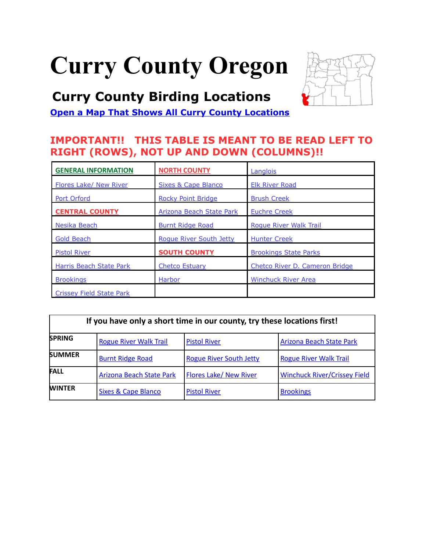# <span id="page-0-0"></span>**Curry County Oregon**

# **Curry County Birding Locations**



**[Open a Map That Shows All Curry County Locations](https://www.google.com/maps/d/edit?mid=zVl1oTDALjf4.kSWOQjt4g8xE&usp=sharing)**

# **IMPORTANT!! THIS TABLE IS MEANT TO BE READ LEFT TO RIGHT (ROWS), NOT UP AND DOWN (COLUMNS)!!**

| <b>GENERAL INFORMATION</b>     | <b>NORTH COUNTY</b>             | Langlois                       |  |
|--------------------------------|---------------------------------|--------------------------------|--|
| Flores Lake/ New River         | Sixes & Cape Blanco             | <b>Elk River Road</b>          |  |
| <b>Port Orford</b>             | <b>Rocky Point Bridge</b>       | <b>Brush Creek</b>             |  |
| <b>CENTRAL COUNTY</b>          | <b>Arizona Beach State Park</b> | <b>Euchre Creek</b>            |  |
| Nesika Beach                   | <b>Burnt Ridge Road</b>         | <b>Roque River Walk Trail</b>  |  |
| <b>Gold Beach</b>              | Roque River South Jetty         | <b>Hunter Creek</b>            |  |
| <b>Pistol River</b>            | <b>SOUTH COUNTY</b>             | <b>Brookings State Parks</b>   |  |
| <b>Harris Beach State Park</b> | <b>Chetco Estuary</b>           | Chetco River D. Cameron Bridge |  |
| <b>Brookings</b>               | Harbor                          | <b>Winchuck River Area</b>     |  |
| Crissey Field State Park       |                                 |                                |  |

| If you have only a short time in our county, try these locations first! |                                 |                                |                                     |  |
|-------------------------------------------------------------------------|---------------------------------|--------------------------------|-------------------------------------|--|
| <b>SPRING</b>                                                           | <b>Rogue River Walk Trail</b>   | <b>Pistol River</b>            | <b>Arizona Beach State Park</b>     |  |
| <b>SUMMER</b>                                                           | <b>Burnt Ridge Road</b>         | <b>Rogue River South Jetty</b> | <b>Rogue River Walk Trail</b>       |  |
| <b>FALL</b>                                                             | <b>Arizona Beach State Park</b> | <b>Flores Lake/ New River</b>  | <b>Winchuck River/Crissey Field</b> |  |
| <b>WINTER</b>                                                           | <b>Sixes &amp; Cape Blanco</b>  | <b>Pistol River</b>            | <b>Brookings</b>                    |  |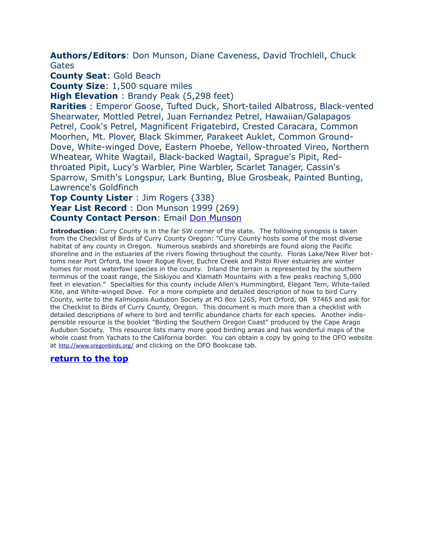<span id="page-1-0"></span>**Authors/Editors**: Don Munson, Diane Caveness, David Trochlell, Chuck Gates

**County Seat**: Gold Beach

**County Size**: 1,500 square miles

**High Elevation** : Brandy Peak (5,298 feet)

**Rarities** : Emperor Goose, Tufted Duck, Short-tailed Albatross, Black-vented Shearwater, Mottled Petrel, Juan Fernandez Petrel, Hawaiian/Galapagos Petrel, Cook's Petrel, Magnificent Frigatebird, Crested Caracara, Common Moorhen, Mt. Plover, Black Skimmer, Parakeet Auklet, Common Ground-Dove, White-winged Dove, Eastern Phoebe, Yellow-throated Vireo, Northern Wheatear, White Wagtail, Black-backed Wagtail, Sprague's Pipit, Redthroated Pipit, Lucy's Warbler, Pine Warbler, Scarlet Tanager, Cassin's Sparrow, Smith's Longspur, Lark Bunting, Blue Grosbeak, Painted Bunting, Lawrence's Goldfinch

#### **Top County Lister** : Jim Rogers (338) Year List Record : Don Munson 1999 (269) **County Contact Person**: Email [Don Munson](mailto:dnkmunson@gmail.com)

**Introduction**: Curry County is in the far SW corner of the state. The following synopsis is taken from the Checklist of Birds of Curry County Oregon: "Curry County hosts some of the most diverse habitat of any county in Oregon. Numerous seabirds and shorebirds are found along the Pacific shoreline and in the estuaries of the rivers flowing throughout the county. Floras Lake/New River bottoms near Port Orford, the lower Rogue River, Euchre Creek and Pistol River estuaries are winter homes for most waterfowl species in the county. Inland the terrain is represented by the southern terminus of the coast range, the Siskiyou and Klamath Mountains with a few peaks reaching 5,000 feet in elevation." Specialties for this county include Allen's Hummingbird, Elegant Tern, White-tailed Kite, and White-winged Dove. For a more complete and detailed description of how to bird Curry County, write to the Kalmiopsis Audubon Society at PO Box 1265, Port Orford, OR 97465 and ask for the Checklist to Birds of Curry County, Oregon. This document is much more than a checklist with detailed descriptions of where to bird and terrific abundance charts for each species. Another indispensible resource is the booklet "Birding the Southern Oregon Coast" produced by the Cape Arago Audubon Society. This resource lists many more good birding areas and has wonderful maps of the whole coast from Yachats to the California border. You can obtain a copy by going to the OFO website at <http://www.oregonbirds.org/> and clicking on the OFO Bookcase tab.

#### **[return to the top](#page-0-0)**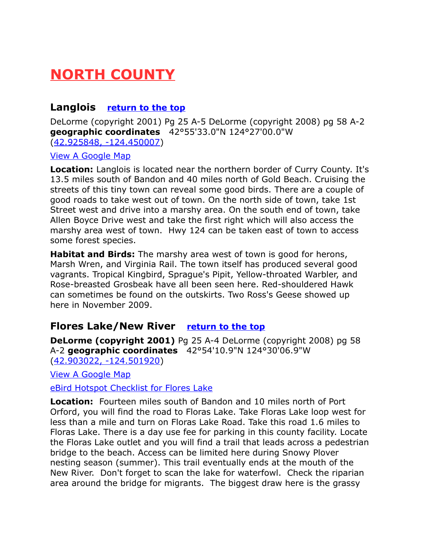# <span id="page-2-2"></span>**NORTH COUNTY**

#### <span id="page-2-1"></span>**Langlois [return to the top](#page-0-0)**

DeLorme (copyright 2001) Pg 25 A-5 DeLorme (copyright 2008) pg 58 A-2 **geographic coordinates** 42°55'33.0"N 124°27'00.0"W [\(42.925848, -124.450007\)](https://www.google.com/maps/place/42%C2%B055)

#### [View A Google Map](http://maps.google.com/maps/ms?hl=en&ie=UTF8&msa=0&msid=108036481085398338899.000478fd498a57f43f287&ll=42.524748,-124.214172&spn=1.386543,2.798767&z=9)

**Location:** Langlois is located near the northern border of Curry County. It's 13.5 miles south of Bandon and 40 miles north of Gold Beach. Cruising the streets of this tiny town can reveal some good birds. There are a couple of good roads to take west out of town. On the north side of town, take 1st Street west and drive into a marshy area. On the south end of town, take Allen Boyce Drive west and take the first right which will also access the marshy area west of town. Hwy 124 can be taken east of town to access some forest species.

**Habitat and Birds:** The marshy area west of town is good for herons, Marsh Wren, and Virginia Rail. The town itself has produced several good vagrants. Tropical Kingbird, Sprague's Pipit, Yellow-throated Warbler, and Rose-breasted Grosbeak have all been seen here. Red-shouldered Hawk can sometimes be found on the outskirts. Two Ross's Geese showed up here in November 2009.

# <span id="page-2-0"></span>**Flores Lake/New River [return to the top](#page-0-0)**

**DeLorme (copyright 2001)** Pg 25 A-4 DeLorme (copyright 2008) pg 58 A-2 **geographic coordinates** 42°54'10.9"N 124°30'06.9"W [\(42.903022, -124.501920\)](https://www.google.com/maps/place/42%C2%B054)

[View A Google Map](http://maps.google.com/maps/ms?hl=en&ie=UTF8&msa=0&msid=108036481085398338899.0004685609df1dc68de42&ll=42.85835,-124.519386&spn=0.172393,0.349846&z=12)

[eBird Hotspot Checklist for Flores Lake](http://ebird.org/ebird/hotspot/L743060)

**Location:** Fourteen miles south of Bandon and 10 miles north of Port Orford, you will find the road to Floras Lake. Take Floras Lake loop west for less than a mile and turn on Floras Lake Road. Take this road 1.6 miles to Floras Lake. There is a day use fee for parking in this county facility. Locate the Floras Lake outlet and you will find a trail that leads across a pedestrian bridge to the beach. Access can be limited here during Snowy Plover nesting season (summer). This trail eventually ends at the mouth of the New River. Don't forget to scan the lake for waterfowl. Check the riparian area around the bridge for migrants. The biggest draw here is the grassy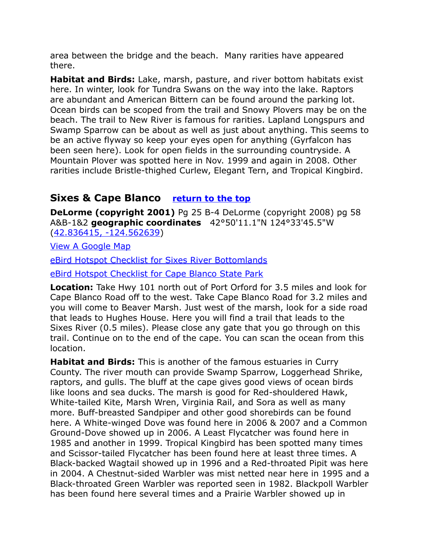area between the bridge and the beach. Many rarities have appeared there.

**Habitat and Birds:** Lake, marsh, pasture, and river bottom habitats exist here. In winter, look for Tundra Swans on the way into the lake. Raptors are abundant and American Bittern can be found around the parking lot. Ocean birds can be scoped from the trail and Snowy Plovers may be on the beach. The trail to New River is famous for rarities. Lapland Longspurs and Swamp Sparrow can be about as well as just about anything. This seems to be an active flyway so keep your eyes open for anything (Gyrfalcon has been seen here). Look for open fields in the surrounding countryside. A Mountain Plover was spotted here in Nov. 1999 and again in 2008. Other rarities include Bristle-thighed Curlew, Elegant Tern, and Tropical Kingbird.

# <span id="page-3-0"></span>**Sixes & Cape Blanco [return to the top](#page-0-0)**

**DeLorme (copyright 2001)** Pg 25 B-4 DeLorme (copyright 2008) pg 58 A&B-1&2 **geographic coordinates** 42°50'11.1"N 124°33'45.5"W [\(42.836415, -124.562639\)](https://www.google.com/maps/place/42%C2%B050)

[View A Google Map](http://maps.google.com/maps/ms?hl=en&ie=UTF8&msa=0&msid=108036481085398338899.0004685609df1dc68de42&ll=42.85835,-124.519386&spn=0.172393,0.349846&z=12)

[eBird Hotspot Checklist for Sixes River Bottomlands](http://ebird.org/ebird/hotspot/L2331815)

[eBird Hotspot Checklist for Cape Blanco State Park](http://ebird.org/ebird/hotspot/L629009)

**Location:** Take Hwy 101 north out of Port Orford for 3.5 miles and look for Cape Blanco Road off to the west. Take Cape Blanco Road for 3.2 miles and you will come to Beaver Marsh. Just west of the marsh, look for a side road that leads to Hughes House. Here you will find a trail that leads to the Sixes River (0.5 miles). Please close any gate that you go through on this trail. Continue on to the end of the cape. You can scan the ocean from this location.

**Habitat and Birds:** This is another of the famous estuaries in Curry County. The river mouth can provide Swamp Sparrow, Loggerhead Shrike, raptors, and gulls. The bluff at the cape gives good views of ocean birds like loons and sea ducks. The marsh is good for Red-shouldered Hawk, White-tailed Kite, Marsh Wren, Virginia Rail, and Sora as well as many more. Buff-breasted Sandpiper and other good shorebirds can be found here. A White-winged Dove was found here in 2006 & 2007 and a Common Ground-Dove showed up in 2006. A Least Flycatcher was found here in 1985 and another in 1999. Tropical Kingbird has been spotted many times and Scissor-tailed Flycatcher has been found here at least three times. A Black-backed Wagtail showed up in 1996 and a Red-throated Pipit was here in 2004. A Chestnut-sided Warbler was mist netted near here in 1995 and a Black-throated Green Warbler was reported seen in 1982. Blackpoll Warbler has been found here several times and a Prairie Warbler showed up in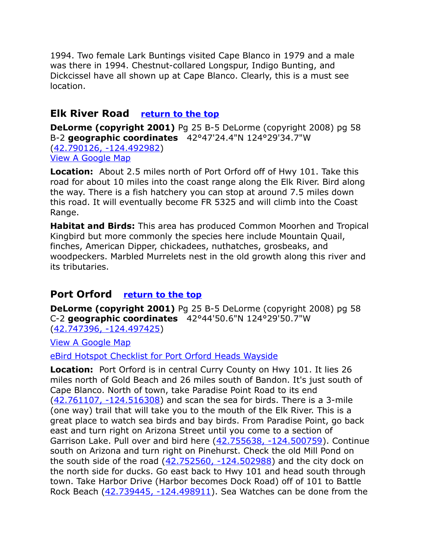1994. Two female Lark Buntings visited Cape Blanco in 1979 and a male was there in 1994. Chestnut-collared Longspur, Indigo Bunting, and Dickcissel have all shown up at Cape Blanco. Clearly, this is a must see location.

# <span id="page-4-1"></span>**Elk River Road [return to the top](#page-0-0)**

**DeLorme (copyright 2001)** Pg 25 B-5 DeLorme (copyright 2008) pg 58 B-2 **geographic coordinates** 42°47'24.4"N 124°29'34.7"W [\(42.790126, -124.492982\)](https://www.google.com/maps/place/42%C2%B047) [View A Google Map](http://maps.google.com/maps/ms?hl=en&ie=UTF8&msa=0&msid=108036481085398338899.000478fd498a57f43f287&ll=42.524748,-124.214172&spn=1.386543,2.798767&z=9)

**Location:** About 2.5 miles north of Port Orford off of Hwy 101. Take this road for about 10 miles into the coast range along the Elk River. Bird along the way. There is a fish hatchery you can stop at around 7.5 miles down this road. It will eventually become FR 5325 and will climb into the Coast Range.

**Habitat and Birds:** This area has produced Common Moorhen and Tropical Kingbird but more commonly the species here include Mountain Quail, finches, American Dipper, chickadees, nuthatches, grosbeaks, and woodpeckers. Marbled Murrelets nest in the old growth along this river and its tributaries.

# <span id="page-4-0"></span>**Port Orford [return to the top](#page-0-0)**

**DeLorme (copyright 2001)** Pg 25 B-5 DeLorme (copyright 2008) pg 58 C-2 **geographic coordinates** 42°44'50.6"N 124°29'50.7"W [\(42.747396, -124.497425\)](https://www.google.com/maps/place/42%C2%B044)

[View A Google Map](http://maps.google.com/maps/ms?hl=en&ie=UTF8&msa=0&msid=108036481085398338899.000478fd498a57f43f287&ll=42.524748,-124.214172&spn=1.386543,2.798767&z=9)

[eBird Hotspot Checklist for Port Orford Heads Wayside](http://ebird.org/ebird/hotspot/L576813)

**Location:** Port Orford is in central Curry County on Hwy 101. It lies 26 miles north of Gold Beach and 26 miles south of Bandon. It's just south of Cape Blanco. North of town, take Paradise Point Road to its end [\(42.761107, -124.516308\)](https://www.google.com/maps/place/42%C2%B045) and scan the sea for birds. There is a 3-mile (one way) trail that will take you to the mouth of the Elk River. This is a great place to watch sea birds and bay birds. From Paradise Point, go back east and turn right on Arizona Street until you come to a section of Garrison Lake. Pull over and bird here [\(42.755638, -124.500759\)](https://www.google.com/maps/place/42%C2%B045). Continue south on Arizona and turn right on Pinehurst. Check the old Mill Pond on the south side of the road  $(42.752560, -124.502988)$  and the city dock on the north side for ducks. Go east back to Hwy 101 and head south through town. Take Harbor Drive (Harbor becomes Dock Road) off of 101 to Battle Rock Beach [\(42.739445, -124.498911\)](https://www.google.com/maps/place/42%C2%B044). Sea Watches can be done from the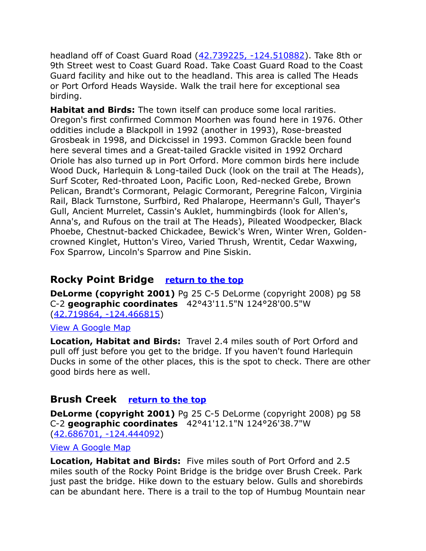headland off of Coast Guard Road [\(42.739225, -124.510882\)](https://www.google.com/maps/place/42%C2%B044). Take 8th or 9th Street west to Coast Guard Road. Take Coast Guard Road to the Coast Guard facility and hike out to the headland. This area is called The Heads or Port Orford Heads Wayside. Walk the trail here for exceptional sea birding.

**Habitat and Birds:** The town itself can produce some local rarities. Oregon's first confirmed Common Moorhen was found here in 1976. Other oddities include a Blackpoll in 1992 (another in 1993), Rose-breasted Grosbeak in 1998, and Dickcissel in 1993. Common Grackle been found here several times and a Great-tailed Grackle visited in 1992 Orchard Oriole has also turned up in Port Orford. More common birds here include Wood Duck, Harlequin & Long-tailed Duck (look on the trail at The Heads), Surf Scoter, Red-throated Loon, Pacific Loon, Red-necked Grebe, Brown Pelican, Brandt's Cormorant, Pelagic Cormorant, Peregrine Falcon, Virginia Rail, Black Turnstone, Surfbird, Red Phalarope, Heermann's Gull, Thayer's Gull, Ancient Murrelet, Cassin's Auklet, hummingbirds (look for Allen's, Anna's, and Rufous on the trail at The Heads), Pileated Woodpecker, Black Phoebe, Chestnut-backed Chickadee, Bewick's Wren, Winter Wren, Goldencrowned Kinglet, Hutton's Vireo, Varied Thrush, Wrentit, Cedar Waxwing, Fox Sparrow, Lincoln's Sparrow and Pine Siskin.

### <span id="page-5-1"></span>**Rocky Point Bridge [return to the top](#page-0-0)**

**DeLorme (copyright 2001)** Pg 25 C-5 DeLorme (copyright 2008) pg 58 C-2 **geographic coordinates** 42°43'11.5"N 124°28'00.5"W [\(42.719864, -124.466815\)](https://www.google.com/maps/place/42%C2%B043)

#### [View A Google Map](http://maps.google.com/maps/ms?hl=en&ie=UTF8&msa=0&ll=42.714354,-124.402828&spn=0.100271,0.264187&z=12&msid=108036481085398338899.000479b7f8fbda0c084d6)

**Location, Habitat and Birds:** Travel 2.4 miles south of Port Orford and pull off just before you get to the bridge. If you haven't found Harlequin Ducks in some of the other places, this is the spot to check. There are other good birds here as well.

#### <span id="page-5-0"></span>**Brush Creek [return to the top](#page-0-0)**

**DeLorme (copyright 2001)** Pg 25 C-5 DeLorme (copyright 2008) pg 58 C-2 **geographic coordinates** 42°41'12.1"N 124°26'38.7"W [\(42.686701, -124.444092\)](https://www.google.com/maps/place/42%C2%B041)

[View A Google Map](http://maps.google.com/maps/ms?hl=en&ie=UTF8&msa=0&ll=42.714354,-124.402828&spn=0.100271,0.264187&z=12&msid=108036481085398338899.000479b7f8fbda0c084d6)

**Location, Habitat and Birds:** Five miles south of Port Orford and 2.5 miles south of the Rocky Point Bridge is the bridge over Brush Creek. Park just past the bridge. Hike down to the estuary below. Gulls and shorebirds can be abundant here. There is a trail to the top of Humbug Mountain near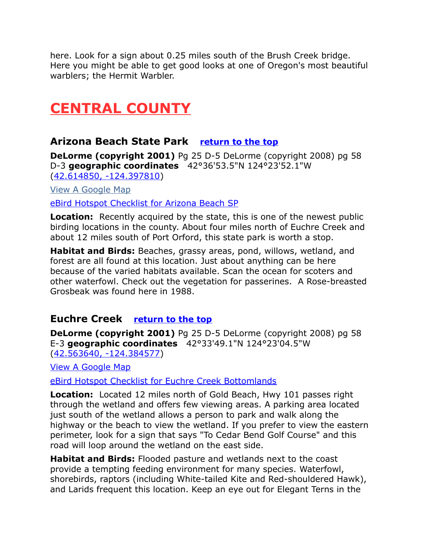here. Look for a sign about 0.25 miles south of the Brush Creek bridge. Here you might be able to get good looks at one of Oregon's most beautiful warblers; the Hermit Warbler.

# <span id="page-6-2"></span>**CENTRAL COUNTY**

# <span id="page-6-0"></span>**Arizona Beach State Park [return to the top](#page-0-0)**

**DeLorme (copyright 2001)** Pg 25 D-5 DeLorme (copyright 2008) pg 58 D-3 **geographic coordinates** 42°36'53.5"N 124°23'52.1"W [\(42.614850, -124.397810\)](https://www.google.com/maps/place/42%C2%B036)

[View A Google Map](http://maps.google.com/maps/ms?hl=en&ie=UTF8&msa=0&ll=42.591511,-124.360943&spn=0.200433,0.528717&z=12&msid=108036481085398338899.00046855efb552d3c7606)

[eBird Hotspot Checklist for Arizona Beach SP](http://ebird.org/ebird/hotspot/L2355947)

**Location:** Recently acquired by the state, this is one of the newest public birding locations in the county. About four miles north of Euchre Creek and about 12 miles south of Port Orford, this state park is worth a stop.

**Habitat and Birds:** Beaches, grassy areas, pond, willows, wetland, and forest are all found at this location. Just about anything can be here because of the varied habitats available. Scan the ocean for scoters and other waterfowl. Check out the vegetation for passerines. A Rose-breasted Grosbeak was found here in 1988.

# <span id="page-6-1"></span>**Euchre Creek [return to the top](#page-0-0)**

**DeLorme (copyright 2001)** Pg 25 D-5 DeLorme (copyright 2008) pg 58 E-3 **geographic coordinates** 42°33'49.1"N 124°23'04.5"W [\(42.563640, -124.384577\)](https://www.google.com/maps/place/42%C2%B033)

[View A Google Map](http://maps.google.com/maps/ms?hl=en&ie=UTF8&msa=0&ll=42.591511,-124.360943&spn=0.200433,0.528717&z=12&msid=108036481085398338899.00046855efb552d3c7606)

[eBird Hotspot Checklist for Euchre Creek Bottomlands](http://ebird.org/ebird/hotspot/L1246057)

**Location:** Located 12 miles north of Gold Beach, Hwy 101 passes right through the wetland and offers few viewing areas. A parking area located just south of the wetland allows a person to park and walk along the highway or the beach to view the wetland. If you prefer to view the eastern perimeter, look for a sign that says "To Cedar Bend Golf Course" and this road will loop around the wetland on the east side.

**Habitat and Birds:** Flooded pasture and wetlands next to the coast provide a tempting feeding environment for many species. Waterfowl, shorebirds, raptors (including White-tailed Kite and Red-shouldered Hawk), and Larids frequent this location. Keep an eye out for Elegant Terns in the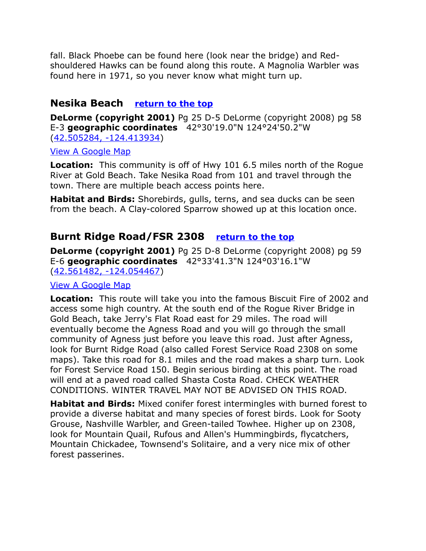fall. Black Phoebe can be found here (look near the bridge) and Redshouldered Hawks can be found along this route. A Magnolia Warbler was found here in 1971, so you never know what might turn up.

#### <span id="page-7-1"></span>**Nesika Beach [return to the top](#page-0-0)**

**DeLorme (copyright 2001)** Pg 25 D-5 DeLorme (copyright 2008) pg 58 E-3 **geographic coordinates** 42°30'19.0"N 124°24'50.2"W [\(42.505284, -124.413934\)](https://www.google.com/maps/place/42%C2%B030)

#### [View A Google Map](http://maps.google.com/maps/ms?hl=en&ie=UTF8&msa=0&msid=108036481085398338899.000478fd498a57f43f287&ll=42.524748,-124.214172&spn=1.386543,2.798767&z=9)

**Location:** This community is off of Hwy 101 6.5 miles north of the Rogue River at Gold Beach. Take Nesika Road from 101 and travel through the town. There are multiple beach access points here.

**Habitat and Birds:** Shorebirds, gulls, terns, and sea ducks can be seen from the beach. A Clay-colored Sparrow showed up at this location once.

# <span id="page-7-0"></span>**Burnt Ridge Road/FSR 2308 [return to the top](#page-0-0)**

**DeLorme (copyright 2001)** Pg 25 D-8 DeLorme (copyright 2008) pg 59 E-6 **geographic coordinates** 42°33'41.3"N 124°03'16.1"W [\(42.561482, -124.054467\)](https://www.google.com/maps/place/42%C2%B033)

#### [View A Google Map](http://maps.google.com/maps/ms?hl=en&ie=UTF8&msa=0&msid=108036481085398338899.00046855b729f440b53c4&ll=42.501972,-124.211082&spn=0.200721,0.528717&z=10)

**Location:** This route will take you into the famous Biscuit Fire of 2002 and access some high country. At the south end of the Rogue River Bridge in Gold Beach, take Jerry's Flat Road east for 29 miles. The road will eventually become the Agness Road and you will go through the small community of Agness just before you leave this road. Just after Agness, look for Burnt Ridge Road (also called Forest Service Road 2308 on some maps). Take this road for 8.1 miles and the road makes a sharp turn. Look for Forest Service Road 150. Begin serious birding at this point. The road will end at a paved road called Shasta Costa Road. CHECK WEATHER CONDITIONS. WINTER TRAVEL MAY NOT BE ADVISED ON THIS ROAD.

**Habitat and Birds:** Mixed conifer forest intermingles with burned forest to provide a diverse habitat and many species of forest birds. Look for Sooty Grouse, Nashville Warbler, and Green-tailed Towhee. Higher up on 2308, look for Mountain Quail, Rufous and Allen's Hummingbirds, flycatchers, Mountain Chickadee, Townsend's Solitaire, and a very nice mix of other forest passerines.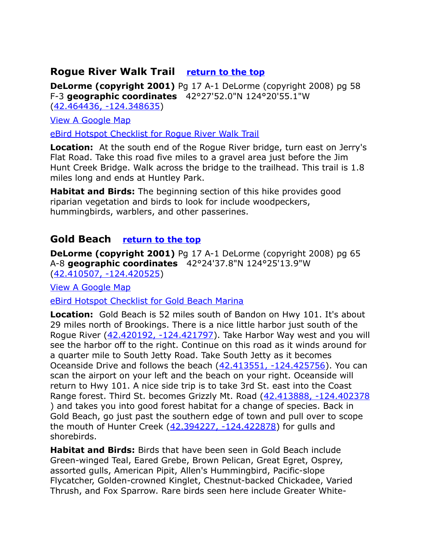#### <span id="page-8-0"></span>**Rogue River Walk Trail [return to the top](#page-0-0)**

**DeLorme (copyright 2001)** Pg 17 A-1 DeLorme (copyright 2008) pg 58 F-3 **geographic coordinates** 42°27'52.0"N 124°20'55.1"W [\(42.464436, -124.348635\)](https://www.google.com/maps/place/42%C2%B027)

[View A Google Map](http://maps.google.com/maps/ms?hl=en&ie=UTF8&msa=0&msid=108036481085398338899.00046855b729f440b53c4&ll=42.501972,-124.211082&spn=0.200721,0.528717&z=10)

[eBird Hotspot Checklist for Rogue River Walk Trail](http://ebird.org/ebird/hotspot/L1155499)

**Location:** At the south end of the Rogue River bridge, turn east on Jerry's Flat Road. Take this road five miles to a gravel area just before the Jim Hunt Creek Bridge. Walk across the bridge to the trailhead. This trail is 1.8 miles long and ends at Huntley Park.

**Habitat and Birds:** The beginning section of this hike provides good riparian vegetation and birds to look for include woodpeckers, hummingbirds, warblers, and other passerines.

#### <span id="page-8-1"></span>**Gold Beach [return to the top](#page-0-0)**

**DeLorme (copyright 2001)** Pg 17 A-1 DeLorme (copyright 2008) pg 65 A-8 **geographic coordinates** 42°24'37.8"N 124°25'13.9"W [\(42.410507, -124.420525\)](https://www.google.com/maps/place/42%C2%B024)

[View A Google Map](http://maps.google.com/maps/ms?hl=en&ie=UTF8&msa=0&msid=108036481085398338899.00046855b729f440b53c4&ll=42.501972,-124.211082&spn=0.200721,0.528717&z=10)

[eBird Hotspot Checklist for Gold Beach Marina](http://ebird.org/ebird/hotspot/L564709)

**Location:** Gold Beach is 52 miles south of Bandon on Hwy 101. It's about 29 miles north of Brookings. There is a nice little harbor just south of the Rogue River [\(42.420192, -124.421797\)](https://www.google.com/maps/place/42%C2%B025). Take Harbor Way west and you will see the harbor off to the right. Continue on this road as it winds around for a quarter mile to South Jetty Road. Take South Jetty as it becomes Oceanside Drive and follows the beach [\(42.413551, -124.425756\)](https://www.google.com/maps/place/42%C2%B024). You can scan the airport on your left and the beach on your right. Oceanside will return to Hwy 101. A nice side trip is to take 3rd St. east into the Coast Range forest. Third St. becomes Grizzly Mt. Road [\(42.413888, -124.402378](https://www.google.com/maps/place/42%C2%B024) ) and takes you into good forest habitat for a change of species. Back in Gold Beach, go just past the southern edge of town and pull over to scope the mouth of Hunter Creek [\(42.394227, -124.422878\)](https://www.google.com/maps/place/42%C2%B023) for gulls and shorebirds.

**Habitat and Birds:** Birds that have been seen in Gold Beach include Green-winged Teal, Eared Grebe, Brown Pelican, Great Egret, Osprey, assorted gulls, American Pipit, Allen's Hummingbird, Pacific-slope Flycatcher, Golden-crowned Kinglet, Chestnut-backed Chickadee, Varied Thrush, and Fox Sparrow. Rare birds seen here include Greater White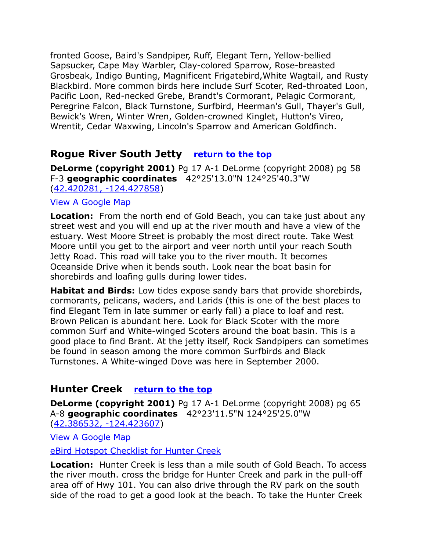fronted Goose, Baird's Sandpiper, Ruff, Elegant Tern, Yellow-bellied Sapsucker, Cape May Warbler, Clay-colored Sparrow, Rose-breasted Grosbeak, Indigo Bunting, Magnificent Frigatebird,White Wagtail, and Rusty Blackbird. More common birds here include Surf Scoter, Red-throated Loon, Pacific Loon, Red-necked Grebe, Brandt's Cormorant, Pelagic Cormorant, Peregrine Falcon, Black Turnstone, Surfbird, Heerman's Gull, Thayer's Gull, Bewick's Wren, Winter Wren, Golden-crowned Kinglet, Hutton's Vireo, Wrentit, Cedar Waxwing, Lincoln's Sparrow and American Goldfinch.

# <span id="page-9-0"></span>**Rogue River South Jetty [return to the top](#page-0-0)**

**DeLorme (copyright 2001)** Pg 17 A-1 DeLorme (copyright 2008) pg 58 F-3 **geographic coordinates** 42°25'13.0"N 124°25'40.3"W [\(42.420281, -124.427858\)](https://www.google.com/maps/place/42%C2%B025)

#### [View A Google Map](http://maps.google.com/maps/ms?hl=en&ie=UTF8&msa=0&msid=108036481085398338899.00046855b729f440b53c4&ll=42.501972,-124.211082&spn=0.200721,0.528717&z=10)

**Location:** From the north end of Gold Beach, you can take just about any street west and you will end up at the river mouth and have a view of the estuary. West Moore Street is probably the most direct route. Take West Moore until you get to the airport and veer north until your reach South Jetty Road. This road will take you to the river mouth. It becomes Oceanside Drive when it bends south. Look near the boat basin for shorebirds and loafing gulls during lower tides.

**Habitat and Birds:** Low tides expose sandy bars that provide shorebirds, cormorants, pelicans, waders, and Larids (this is one of the best places to find Elegant Tern in late summer or early fall) a place to loaf and rest. Brown Pelican is abundant here. Look for Black Scoter with the more common Surf and White-winged Scoters around the boat basin. This is a good place to find Brant. At the jetty itself, Rock Sandpipers can sometimes be found in season among the more common Surfbirds and Black Turnstones. A White-winged Dove was here in September 2000.

# <span id="page-9-1"></span>**Hunter Creek [return to the top](#page-0-0)**

**DeLorme (copyright 2001)** Pg 17 A-1 DeLorme (copyright 2008) pg 65 A-8 **geographic coordinates** 42°23'11.5"N 124°25'25.0"W [\(42.386532, -124.423607\)](https://www.google.com/maps/place/42%C2%B023)

[View A Google Map](http://maps.google.com/maps/ms?hl=en&ie=UTF8&msa=0&msid=108036481085398338899.000478fd498a57f43f287&ll=42.524748,-124.214172&spn=1.386543,2.798767&z=9)

[eBird Hotspot Checklist for Hunter Creek](http://ebird.org/ebird/hotspot/L2301621)

**Location:** Hunter Creek is less than a mile south of Gold Beach. To access the river mouth. cross the bridge for Hunter Creek and park in the pull-off area off of Hwy 101. You can also drive through the RV park on the south side of the road to get a good look at the beach. To take the Hunter Creek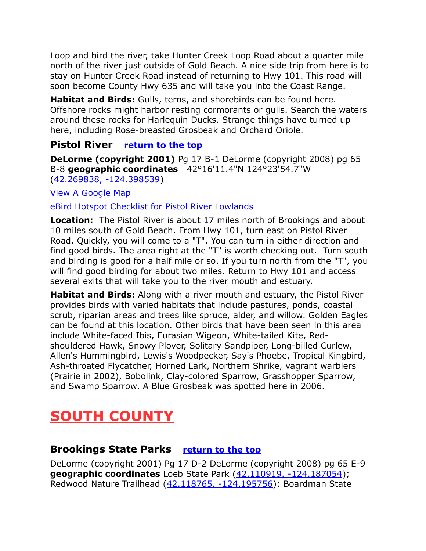Loop and bird the river, take Hunter Creek Loop Road about a quarter mile north of the river just outside of Gold Beach. A nice side trip from here is to stay on Hunter Creek Road instead of returning to Hwy 101. This road will soon become County Hwy 635 and will take you into the Coast Range.

**Habitat and Birds:** Gulls, terns, and shorebirds can be found here. Offshore rocks might harbor resting cormorants or gulls. Search the waters around these rocks for Harlequin Ducks. Strange things have turned up here, including Rose-breasted Grosbeak and Orchard Oriole.

#### <span id="page-10-0"></span>**Pistol River [return to the top](#page-0-0)**

**DeLorme (copyright 2001)** Pg 17 B-1 DeLorme (copyright 2008) pg 65 B-8 **geographic coordinates** 42°16'11.4"N 124°23'54.7"W [\(42.269838, -124.398539\)](https://www.google.com/maps/place/42%C2%B016)

[View A Google Map](http://maps.google.com/maps/ms?hl=en&ie=UTF8&msa=0&ll=42.275943,-124.394288&spn=0.025181,0.06609&z=14&msid=108036481085398338899.00046855a634bb16e97c0)

[eBird Hotspot Checklist for Pistol River Lowlands](http://ebird.org/ebird/hotspot/L2356739)

**Location:** The Pistol River is about 17 miles north of Brookings and about 10 miles south of Gold Beach. From Hwy 101, turn east on Pistol River Road. Quickly, you will come to a "T". You can turn in either direction and find good birds. The area right at the "T" is worth checking out. Turn south and birding is good for a half mile or so. If you turn north from the "T", you will find good birding for about two miles. Return to Hwy 101 and access several exits that will take you to the river mouth and estuary.

**Habitat and Birds:** Along with a river mouth and estuary, the Pistol River provides birds with varied habitats that include pastures, ponds, coastal scrub, riparian areas and trees like spruce, alder, and willow. Golden Eagles can be found at this location. Other birds that have been seen in this area include White-faced Ibis, Eurasian Wigeon, White-tailed Kite, Redshouldered Hawk, Snowy Plover, Solitary Sandpiper, Long-billed Curlew, Allen's Hummingbird, Lewis's Woodpecker, Say's Phoebe, Tropical Kingbird, Ash-throated Flycatcher, Horned Lark, Northern Shrike, vagrant warblers (Prairie in 2002), Bobolink, Clay-colored Sparrow, Grasshopper Sparrow, and Swamp Sparrow. A Blue Grosbeak was spotted here in 2006.

# <span id="page-10-2"></span>**SOUTH COUNTY**

# <span id="page-10-1"></span>**Brookings State Parks [return to the top](#page-0-0)**

DeLorme (copyright 2001) Pg 17 D-2 DeLorme (copyright 2008) pg 65 E-9 **geographic coordinates** Loeb State Park [\(42.110919, -124.187054\)](https://www.google.com/maps/place/42%C2%B006); Redwood Nature Trailhead [\(42.118765, -124.195756\)](https://www.google.com/maps/place/42%C2%B007); Boardman State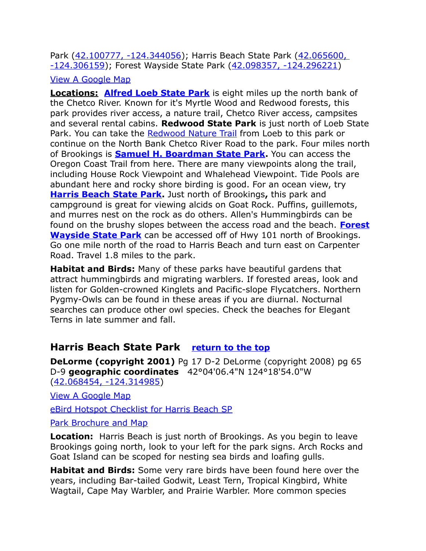Park [\(42.100777, -124.344056\)](https://www.google.com/maps/place/42%C2%B006); Harris Beach State Park [\(42.065600,](https://www.google.com/maps/place/42%C2%B003)  [-124.306159\)](https://www.google.com/maps/place/42%C2%B003); Forest Wayside State Park [\(42.098357, -124.296221\)](https://www.google.com/maps/place/42%C2%B005)

#### [View A Google Map](http://maps.google.com/maps/ms?hl=en&ie=UTF8&msa=0&msid=108036481085398338899.0004685460627606f0468&z=12)

**Locations: [Alfred Loeb State Park](http://oregonstateparks.org/index.cfm?do=parkPage.dsp_parkPage&parkId=51)** is eight miles up the north bank of the Chetco River. Known for it's Myrtle Wood and Redwood forests, this park provides river access, a nature trail, Chetco River access, campsites and several rental cabins. **Redwood State Park** is just north of Loeb State Park. You can take the [Redwood Nature Trail](http://www.redwoodhikes.com/Oregon/Loeb.html) from Loeb to this park or continue on the North Bank Chetco River Road to the park. Four miles north of Brookings is **[Samuel H. Boardman State Park.](http://oregonstateparks.org/index.cfm?do=parkPage.dsp_parkPage&parkId=56)** You can access the Oregon Coast Trail from here. There are many viewpoints along the trail, including House Rock Viewpoint and Whalehead Viewpoint. Tide Pools are abundant here and rocky shore birding is good. For an ocean view, try **[Harris Beach State Park.](http://oregonstateparks.org/index.cfm?do=parkPage.dsp_parkPage&parkId=58)** Just north of Brookings**,** this park and campground is great for viewing alcids on Goat Rock. Puffins, guillemots, and murres nest on the rock as do others. Allen's Hummingbirds can be found on the brushy slopes between the access road and the beach. **[Forest](http://www.stateparks.com/forest_wayside_state_park_in_oregon.html) [Wayside State Park](http://www.stateparks.com/forest_wayside_state_park_in_oregon.html)** can be accessed off of Hwy 101 north of Brookings. Go one mile north of the road to Harris Beach and turn east on Carpenter Road. Travel 1.8 miles to the park.

**Habitat and Birds:** Many of these parks have beautiful gardens that attract hummingbirds and migrating warblers. If forested areas, look and listen for Golden-crowned Kinglets and Pacific-slope Flycatchers. Northern Pygmy-Owls can be found in these areas if you are diurnal. Nocturnal searches can produce other owl species. Check the beaches for Elegant Terns in late summer and fall.

# <span id="page-11-0"></span>**Harris Beach State Park [return to the top](#page-0-0)**

**DeLorme (copyright 2001)** Pg 17 D-2 DeLorme (copyright 2008) pg 65 D-9 **geographic coordinates** 42°04'06.4"N 124°18'54.0"W [\(42.068454, -124.314985\)](https://www.google.com/maps/place/42%C2%B004)

[View A Google Map](http://maps.google.com/maps/ms?hl=en&ie=UTF8&msa=0&msid=108036481085398338899.000478fd498a57f43f287&ll=42.524748,-124.214172&spn=1.386543,2.798767&z=9)

[eBird Hotspot Checklist for Harris Beach SP](http://ebird.org/ebird/hotspot/L864791)

#### [Park Brochure and Map](http://www.oregonstateparks.org/park_79.php)

**Location:** Harris Beach is just north of Brookings. As you begin to leave Brookings going north, look to your left for the park signs. Arch Rocks and Goat Island can be scoped for nesting sea birds and loafing gulls.

**Habitat and Birds:** Some very rare birds have been found here over the years, including Bar-tailed Godwit, Least Tern, Tropical Kingbird, White Wagtail, Cape May Warbler, and Prairie Warbler. More common species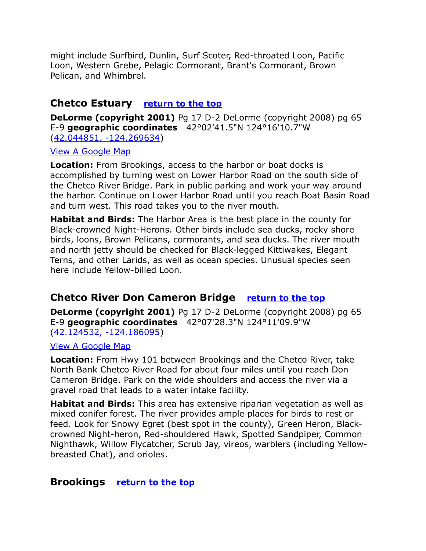might include Surfbird, Dunlin, Surf Scoter, Red-throated Loon, Pacific Loon, Western Grebe, Pelagic Cormorant, Brant's Cormorant, Brown Pelican, and Whimbrel.

#### <span id="page-12-2"></span>**Chetco Estuary [return to the top](#page-0-0)**

**DeLorme (copyright 2001)** Pg 17 D-2 DeLorme (copyright 2008) pg 65 E-9 **geographic coordinates** 42°02'41.5"N 124°16'10.7"W [\(42.044851, -124.269634\)](https://www.google.com/maps/place/42%C2%B002)

#### [View A Google Map](http://maps.google.com/maps/ms?hl=en&ie=UTF8&msa=0&msid=108036481085398338899.0004685460627606f0468&z=12)

**Location:** From Brookings, access to the harbor or boat docks is accomplished by turning west on Lower Harbor Road on the south side of the Chetco River Bridge. Park in public parking and work your way around the harbor. Continue on Lower Harbor Road until you reach Boat Basin Road and turn west. This road takes you to the river mouth.

**Habitat and Birds:** The Harbor Area is the best place in the county for Black-crowned Night-Herons. Other birds include sea ducks, rocky shore birds, loons, Brown Pelicans, cormorants, and sea ducks. The river mouth and north jetty should be checked for Black-legged Kittiwakes, Elegant Terns, and other Larids, as well as ocean species. Unusual species seen here include Yellow-billed Loon.

# <span id="page-12-1"></span>**Chetco River Don Cameron Bridge [return to the top](#page-0-0)**

**DeLorme (copyright 2001)** Pg 17 D-2 DeLorme (copyright 2008) pg 65 E-9 **geographic coordinates** 42°07'28.3"N 124°11'09.9"W [\(42.124532, -124.186095\)](https://www.google.com/maps/place/42%C2%B007)

#### [View A Google Map](http://maps.google.com/maps/ms?hl=en&ie=UTF8&msa=0&msid=108036481085398338899.0004685460627606f0468&z=12)

**Location:** From Hwy 101 between Brookings and the Chetco River, take North Bank Chetco River Road for about four miles until you reach Don Cameron Bridge. Park on the wide shoulders and access the river via a gravel road that leads to a water intake facility.

**Habitat and Birds:** This area has extensive riparian vegetation as well as mixed conifer forest. The river provides ample places for birds to rest or feed. Look for Snowy Egret (best spot in the county), Green Heron, Blackcrowned Night-heron, Red-shouldered Hawk, Spotted Sandpiper, Common Nighthawk, Willow Flycatcher, Scrub Jay, vireos, warblers (including Yellowbreasted Chat), and orioles.

#### <span id="page-12-0"></span>**Brookings [return to the top](#page-0-0)**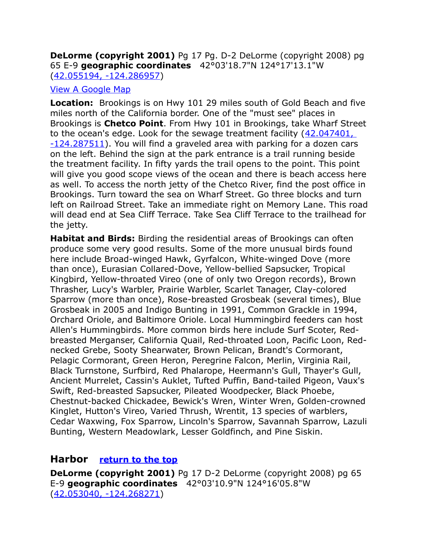#### **DeLorme (copyright 2001)** Pg 17 Pg. D-2 DeLorme (copyright 2008) pg 65 E-9 **geographic coordinates** 42°03'18.7"N 124°17'13.1"W [\(42.055194, -124.286957\)](https://www.google.com/maps/place/42%C2%B003)

#### [View A Google Map](http://maps.google.com/maps/ms?hl=en&ie=UTF8&msa=0&msid=108036481085398338899.0004685460627606f0468&z=12)

**Location:** Brookings is on Hwy 101 29 miles south of Gold Beach and five miles north of the California border. One of the "must see" places in Brookings is **Chetco Point**. From Hwy 101 in Brookings, take Wharf Street to the ocean's edge. Look for the sewage treatment facility (42.047401, [-124.287511\)](https://www.google.com/maps/place/42%C2%B002). You will find a graveled area with parking for a dozen cars on the left. Behind the sign at the park entrance is a trail running beside the treatment facility. In fifty yards the trail opens to the point. This point will give you good scope views of the ocean and there is beach access here as well. To access the north jetty of the Chetco River, find the post office in Brookings. Turn toward the sea on Wharf Street. Go three blocks and turn left on Railroad Street. Take an immediate right on Memory Lane. This road will dead end at Sea Cliff Terrace. Take Sea Cliff Terrace to the trailhead for the jetty.

**Habitat and Birds:** Birding the residential areas of Brookings can often produce some very good results. Some of the more unusual birds found here include Broad-winged Hawk, Gyrfalcon, White-winged Dove (more than once), Eurasian Collared-Dove, Yellow-bellied Sapsucker, Tropical Kingbird, Yellow-throated Vireo (one of only two Oregon records), Brown Thrasher, Lucy's Warbler, Prairie Warbler, Scarlet Tanager, Clay-colored Sparrow (more than once), Rose-breasted Grosbeak (several times), Blue Grosbeak in 2005 and Indigo Bunting in 1991, Common Grackle in 1994, Orchard Oriole, and Baltimore Oriole. Local Hummingbird feeders can host Allen's Hummingbirds. More common birds here include Surf Scoter, Redbreasted Merganser, California Quail, Red-throated Loon, Pacific Loon, Rednecked Grebe, Sooty Shearwater, Brown Pelican, Brandt's Cormorant, Pelagic Cormorant, Green Heron, Peregrine Falcon, Merlin, Virginia Rail, Black Turnstone, Surfbird, Red Phalarope, Heermann's Gull, Thayer's Gull, Ancient Murrelet, Cassin's Auklet, Tufted Puffin, Band-tailed Pigeon, Vaux's Swift, Red-breasted Sapsucker, Pileated Woodpecker, Black Phoebe, Chestnut-backed Chickadee, Bewick's Wren, Winter Wren, Golden-crowned Kinglet, Hutton's Vireo, Varied Thrush, Wrentit, 13 species of warblers, Cedar Waxwing, Fox Sparrow, Lincoln's Sparrow, Savannah Sparrow, Lazuli Bunting, Western Meadowlark, Lesser Goldfinch, and Pine Siskin.

#### <span id="page-13-0"></span>**Harbor [return to the top](#page-0-0)**

**DeLorme (copyright 2001)** Pg 17 D-2 DeLorme (copyright 2008) pg 65 E-9 **geographic coordinates** 42°03'10.9"N 124°16'05.8"W [\(42.053040, -124.268271\)](https://www.google.com/maps/place/42%C2%B003)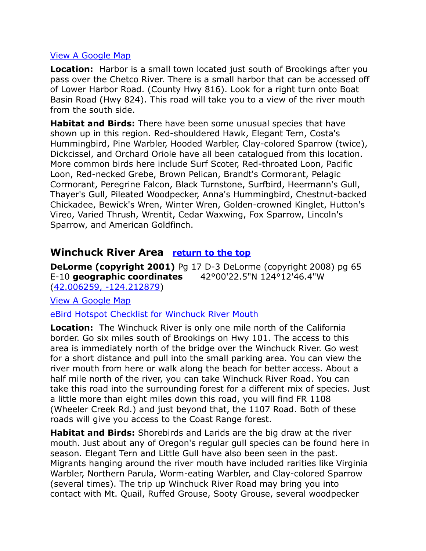#### [View A Google Map](http://maps.google.com/maps/ms?hl=en&ie=UTF8&msa=0&msid=108036481085398338899.0004685460627606f0468&z=12)

**Location:** Harbor is a small town located just south of Brookings after you pass over the Chetco River. There is a small harbor that can be accessed off of Lower Harbor Road. (County Hwy 816). Look for a right turn onto Boat Basin Road (Hwy 824). This road will take you to a view of the river mouth from the south side.

**Habitat and Birds:** There have been some unusual species that have shown up in this region. Red-shouldered Hawk, Elegant Tern, Costa's Hummingbird, Pine Warbler, Hooded Warbler, Clay-colored Sparrow (twice), Dickcissel, and Orchard Oriole have all been catalogued from this location. More common birds here include Surf Scoter, Red-throated Loon, Pacific Loon, Red-necked Grebe, Brown Pelican, Brandt's Cormorant, Pelagic Cormorant, Peregrine Falcon, Black Turnstone, Surfbird, Heermann's Gull, Thayer's Gull, Pileated Woodpecker, Anna's Hummingbird, Chestnut-backed Chickadee, Bewick's Wren, Winter Wren, Golden-crowned Kinglet, Hutton's Vireo, Varied Thrush, Wrentit, Cedar Waxwing, Fox Sparrow, Lincoln's Sparrow, and American Goldfinch.

# <span id="page-14-0"></span>**Winchuck River Area [return to the top](#page-0-0)**

**DeLorme (copyright 2001)** Pg 17 D-3 DeLorme (copyright 2008) pg 65 E-10 **geographic coordinates** 42°00'22.5"N 124°12'46.4"W [\(42.006259, -124.212879\)](https://www.google.com/maps/place/42%C2%B000)

[View A Google Map](http://maps.google.com/maps/ms?hl=en&ie=UTF8&msa=0&msid=108036481085398338899.00046851714e2165acbae&ll=42.008154,-124.192822&spn=0.046748,0.072784&z=14)

[eBird Hotspot Checklist for Winchuck River Mouth](http://ebird.org/ebird/hotspot/L792250)

**Location:** The Winchuck River is only one mile north of the California border. Go six miles south of Brookings on Hwy 101. The access to this area is immediately north of the bridge over the Winchuck River. Go west for a short distance and pull into the small parking area. You can view the river mouth from here or walk along the beach for better access. About a half mile north of the river, you can take Winchuck River Road. You can take this road into the surrounding forest for a different mix of species. Just a little more than eight miles down this road, you will find FR 1108 (Wheeler Creek Rd.) and just beyond that, the 1107 Road. Both of these roads will give you access to the Coast Range forest.

**Habitat and Birds:** Shorebirds and Larids are the big draw at the river mouth. Just about any of Oregon's regular gull species can be found here in season. Elegant Tern and Little Gull have also been seen in the past. Migrants hanging around the river mouth have included rarities like Virginia Warbler, Northern Parula, Worm-eating Warbler, and Clay-colored Sparrow (several times). The trip up Winchuck River Road may bring you into contact with Mt. Quail, Ruffed Grouse, Sooty Grouse, several woodpecker